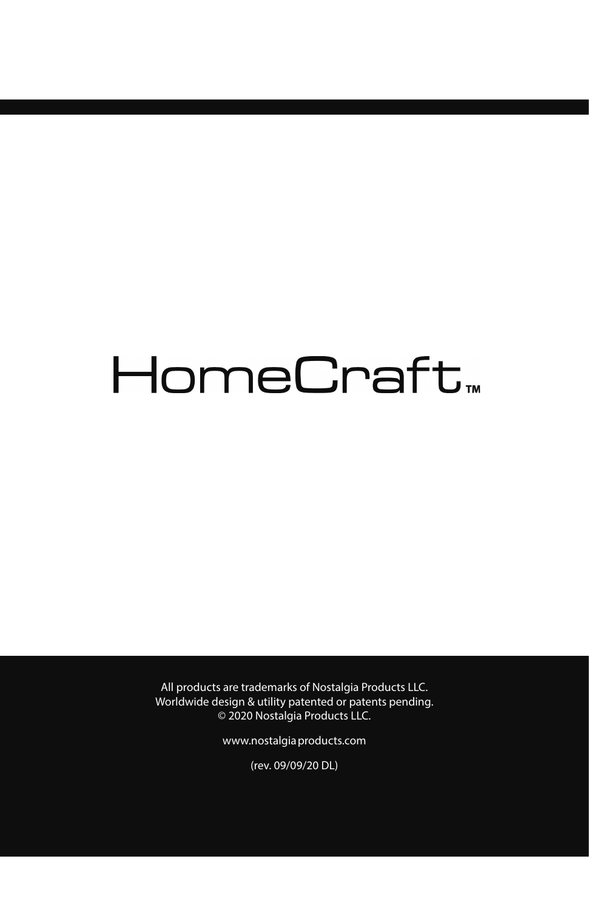# HomeCraft<sub>\*</sub>

All products are trademarks of Nostalgia Products LLC. Worldwide design & utility patented or patents pending. © 2020 Nostalgia Products LLC.

www.nostalgiaproducts.com

(rev. 09/09/20 DL)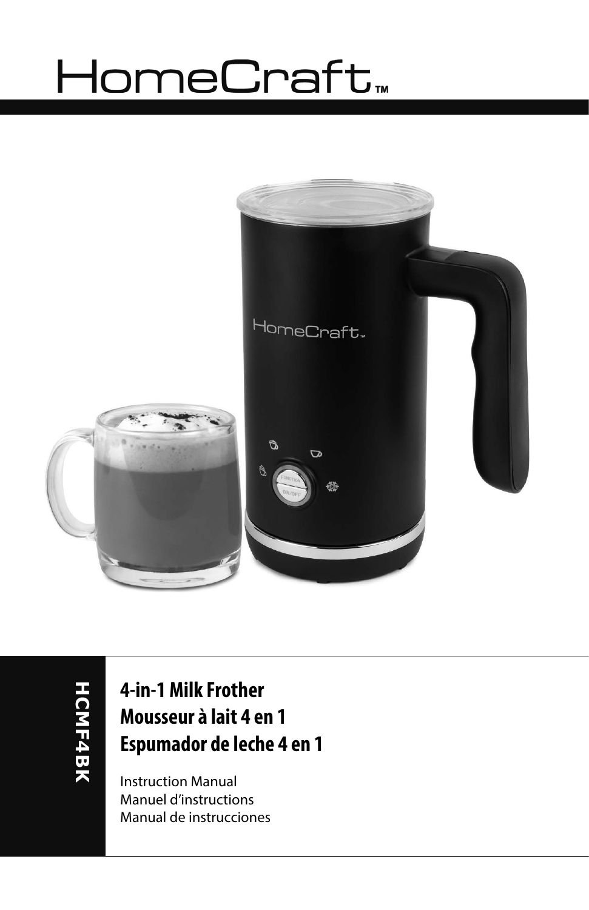# HomeCraft<sub>™</sub>



**HCMF4BK HCMF4BK**

### **4-in-1 Milk Frother Mousseur à lait 4 en 1 Espumador de leche 4 en 1**

Instruction Manual Manuel d'instructions Manual de instrucciones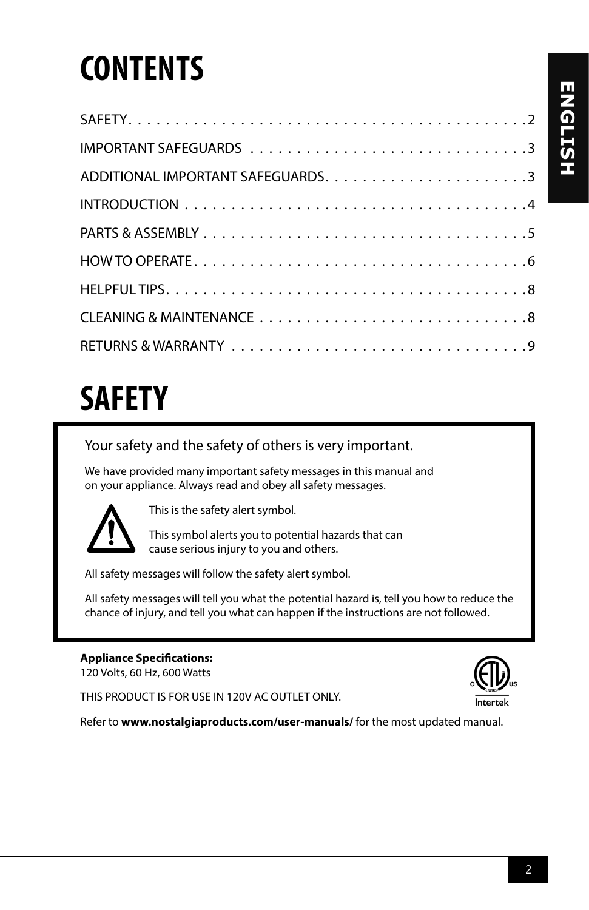## **CONTENTS**

## **SAFETY**

Your safety and the safety of others is very important.

We have provided many important safety messages in this manual and on your appliance. Always read and obey all safety messages.



This is the safety alert symbol.

This symbol alerts you to potential hazards that can cause serious injury to you and others.

All safety messages will follow the safety alert symbol.

All safety messages will tell you what the potential hazard is, tell you how to reduce the chance of injury, and tell you what can happen if the instructions are not followed.

#### **Appliance Specifications:**

120 Volts, 60 Hz, 600 Watts

THIS PRODUCT IS FOR USE IN 120V AC OUTLET ONLY.

Refer to **www.nostalgiaproducts.com/user-manuals/** for the most updated manual.

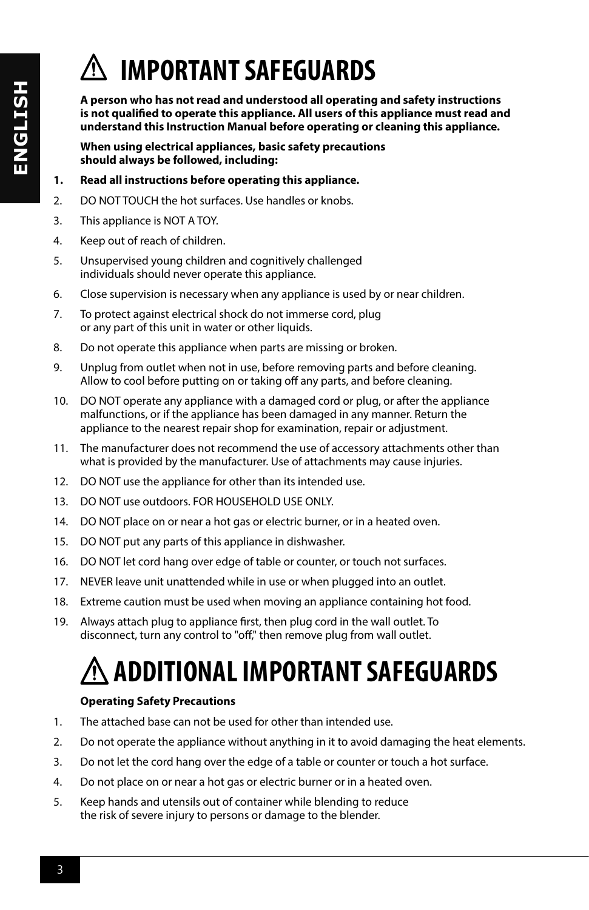## **IMPORTANT SAFEGUARDS**

**A person who has not read and understood all operating and safety instructions is not qualified to operate this appliance. All users of this appliance must read and understand this Instruction Manual before operating or cleaning this appliance.**

**When using electrical appliances, basic safety precautions should always be followed, including:**

- **1. Read all instructions before operating this appliance.**
- 2. DO NOT TOUCH the hot surfaces. Use handles or knobs.
- 3. This appliance is NOT A TOY.
- 4. Keep out of reach of children.
- 5. Unsupervised young children and cognitively challenged individuals should never operate this appliance.
- 6. Close supervision is necessary when any appliance is used by or near children.
- 7. To protect against electrical shock do not immerse cord, plug or any part of this unit in water or other liquids.
- 8. Do not operate this appliance when parts are missing or broken.
- 9. Unplug from outlet when not in use, before removing parts and before cleaning. Allow to cool before putting on or taking off any parts, and before cleaning.
- 10. DO NOT operate any appliance with a damaged cord or plug, or after the appliance malfunctions, or if the appliance has been damaged in any manner. Return the appliance to the nearest repair shop for examination, repair or adjustment.
- 11. The manufacturer does not recommend the use of accessory attachments other than what is provided by the manufacturer. Use of attachments may cause injuries.
- 12. DO NOT use the appliance for other than its intended use.
- 13. DO NOT use outdoors. FOR HOUSEHOLD USE ONLY.
- 14. DO NOT place on or near a hot gas or electric burner, or in a heated oven.
- 15. DO NOT put any parts of this appliance in dishwasher.
- 16. DO NOT let cord hang over edge of table or counter, or touch not surfaces.
- 17. NEVER leave unit unattended while in use or when plugged into an outlet.
- 18. Extreme caution must be used when moving an appliance containing hot food.
- 19. Always attach plug to appliance first, then plug cord in the wall outlet. To disconnect, turn any control to "off," then remove plug from wall outlet.

## **ADDITIONAL IMPORTANT SAFEGUARDS**

#### **Operating Safety Precautions**

- 1. The attached base can not be used for other than intended use.
- 2. Do not operate the appliance without anything in it to avoid damaging the heat elements.
- 3. Do not let the cord hang over the edge of a table or counter or touch a hot surface.
- 4. Do not place on or near a hot gas or electric burner or in a heated oven.
- 5. Keep hands and utensils out of container while blending to reduce the risk of severe injury to persons or damage to the blender.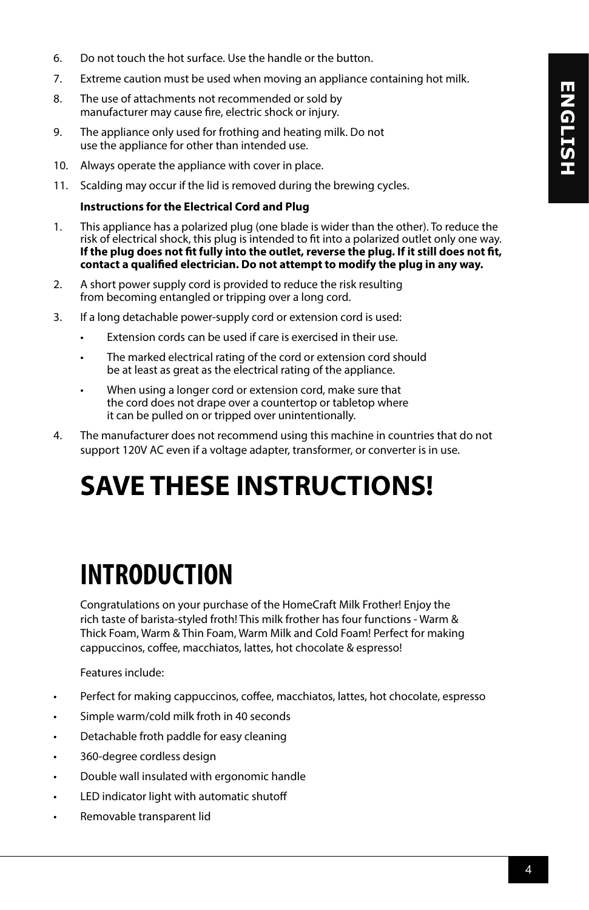- 6. Do not touch the hot surface. Use the handle or the button.
- 7. Extreme caution must be used when moving an appliance containing hot milk.
- 8. The use of attachments not recommended or sold by manufacturer may cause fire, electric shock or injury.
- 9. The appliance only used for frothing and heating milk. Do not use the appliance for other than intended use.
- 10. Always operate the appliance with cover in place.
- 11. Scalding may occur if the lid is removed during the brewing cycles.

#### **Instructions for the Electrical Cord and Plug**

- 1. This appliance has a polarized plug (one blade is wider than the other). To reduce the risk of electrical shock, this plug is intended to fit into a polarized outlet only one way. **If the plug does not fit fully into the outlet, reverse the plug. If it still does not fit, contact a qualified electrician. Do not attempt to modify the plug in any way.**
- 2. A short power supply cord is provided to reduce the risk resulting from becoming entangled or tripping over a long cord.
- 3. If a long detachable power-supply cord or extension cord is used:
	- Extension cords can be used if care is exercised in their use.
	- The marked electrical rating of the cord or extension cord should be at least as great as the electrical rating of the appliance.
	- When using a longer cord or extension cord, make sure that the cord does not drape over a countertop or tabletop where it can be pulled on or tripped over unintentionally.
- 4. The manufacturer does not recommend using this machine in countries that do not support 120V AC even if a voltage adapter, transformer, or converter is in use.

### **SAVE THESE INSTRUCTIONS!**

### **INTRODUCTION**

Congratulations on your purchase of the HomeCraft Milk Frother! Enjoy the rich taste of barista-styled froth! This milk frother has four functions - Warm & Thick Foam, Warm & Thin Foam, Warm Milk and Cold Foam! Perfect for making cappuccinos, coffee, macchiatos, lattes, hot chocolate & espresso!

Features include:

- Perfect for making cappuccinos, coffee, macchiatos, lattes, hot chocolate, espresso
- Simple warm/cold milk froth in 40 seconds
- Detachable froth paddle for easy cleaning
- 360-degree cordless design
- Double wall insulated with ergonomic handle
- LED indicator light with automatic shutoff
- Removable transparent lid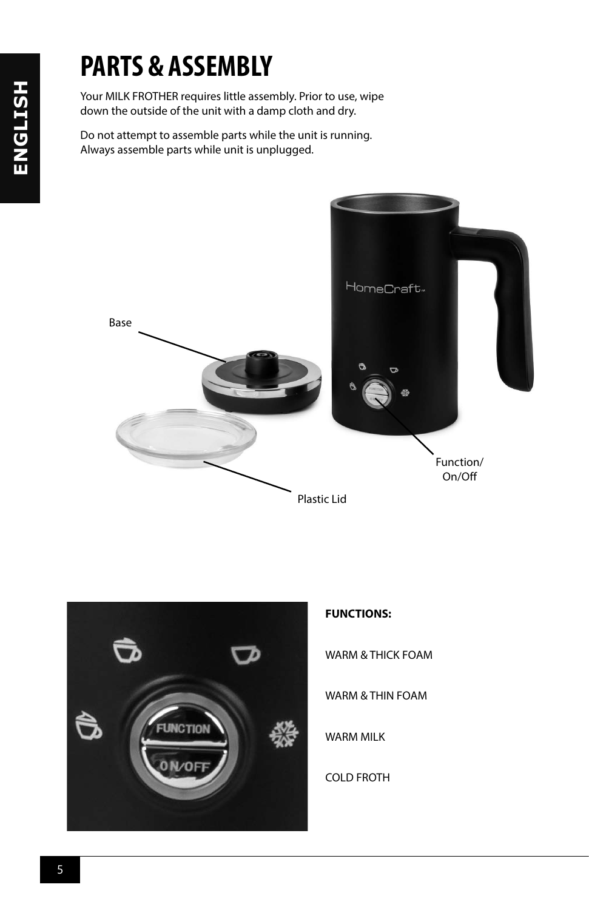### **PARTS & ASSEMBLY**

Your MILK FROTHER requires little assembly. Prior to use, wipe down the outside of the unit with a damp cloth and dry.

Do not attempt to assemble parts while the unit is running. Always assemble parts while unit is unplugged.





#### **FUNCTIONS:**

WARM & THICK FOAM

WARM & THIN FOAM

WARM MILK

COLD FROTH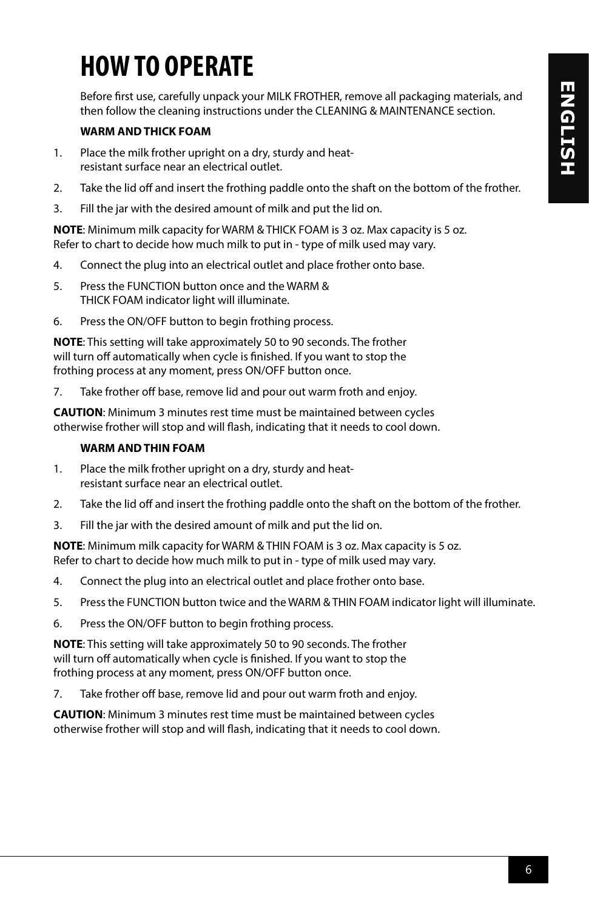### **HOW TO OPERATE**

Before first use, carefully unpack your MILK FROTHER, remove all packaging materials, and then follow the cleaning instructions under the CLEANING & MAINTENANCE section.

#### **WARM AND THICK FOAM**

- 1. Place the milk frother upright on a dry, sturdy and heatresistant surface near an electrical outlet.
- 2. Take the lid off and insert the frothing paddle onto the shaft on the bottom of the frother.
- 3. Fill the jar with the desired amount of milk and put the lid on.

**NOTE**: Minimum milk capacity for WARM & THICK FOAM is 3 oz. Max capacity is 5 oz. Refer to chart to decide how much milk to put in - type of milk used may vary.

- 4. Connect the plug into an electrical outlet and place frother onto base.
- 5. Press the FUNCTION button once and the WARM & THICK FOAM indicator light will illuminate.
- 6. Press the ON/OFF button to begin frothing process.

**NOTE**: This setting will take approximately 50 to 90 seconds. The frother will turn off automatically when cycle is finished. If you want to stop the frothing process at any moment, press ON/OFF button once.

7. Take frother off base, remove lid and pour out warm froth and enjoy.

**CAUTION**: Minimum 3 minutes rest time must be maintained between cycles otherwise frother will stop and will flash, indicating that it needs to cool down.

#### **WARM AND THIN FOAM**

- 1. Place the milk frother upright on a dry, sturdy and heatresistant surface near an electrical outlet.
- 2. Take the lid off and insert the frothing paddle onto the shaft on the bottom of the frother.
- 3. Fill the jar with the desired amount of milk and put the lid on.

**NOTE**: Minimum milk capacity for WARM & THIN FOAM is 3 oz. Max capacity is 5 oz. Refer to chart to decide how much milk to put in - type of milk used may vary.

- 4. Connect the plug into an electrical outlet and place frother onto base.
- 5. Press the FUNCTION button twice and the WARM & THIN FOAM indicator light will illuminate.
- 6. Press the ON/OFF button to begin frothing process.

**NOTE**: This setting will take approximately 50 to 90 seconds. The frother will turn off automatically when cycle is finished. If you want to stop the frothing process at any moment, press ON/OFF button once.

7. Take frother off base, remove lid and pour out warm froth and enjoy.

**CAUTION**: Minimum 3 minutes rest time must be maintained between cycles otherwise frother will stop and will flash, indicating that it needs to cool down.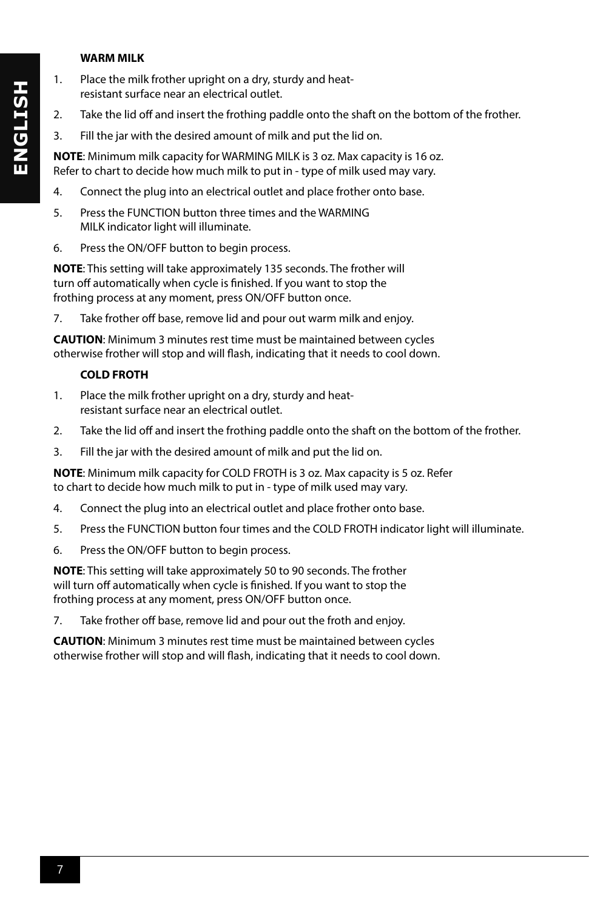#### **WARM MILK**

- 1. Place the milk frother upright on a dry, sturdy and heatresistant surface near an electrical outlet.
- 2. Take the lid off and insert the frothing paddle onto the shaft on the bottom of the frother.
- 3. Fill the jar with the desired amount of milk and put the lid on.

**NOTE**: Minimum milk capacity for WARMING MILK is 3 oz. Max capacity is 16 oz. Refer to chart to decide how much milk to put in - type of milk used may vary.

- 4. Connect the plug into an electrical outlet and place frother onto base.
- 5. Press the FUNCTION button three times and the WARMING MILK indicator light will illuminate.
- 6. Press the ON/OFF button to begin process.

**NOTE**: This setting will take approximately 135 seconds. The frother will turn off automatically when cycle is finished. If you want to stop the frothing process at any moment, press ON/OFF button once.

7. Take frother off base, remove lid and pour out warm milk and enjoy.

**CAUTION**: Minimum 3 minutes rest time must be maintained between cycles otherwise frother will stop and will flash, indicating that it needs to cool down.

#### **COLD FROTH**

- 1. Place the milk frother upright on a dry, sturdy and heatresistant surface near an electrical outlet.
- 2. Take the lid off and insert the frothing paddle onto the shaft on the bottom of the frother.
- 3. Fill the jar with the desired amount of milk and put the lid on.

**NOTE**: Minimum milk capacity for COLD FROTH is 3 oz. Max capacity is 5 oz. Refer to chart to decide how much milk to put in - type of milk used may vary.

- 4. Connect the plug into an electrical outlet and place frother onto base.
- 5. Press the FUNCTION button four times and the COLD FROTH indicator light will illuminate.
- 6. Press the ON/OFF button to begin process.

**NOTE**: This setting will take approximately 50 to 90 seconds. The frother will turn off automatically when cycle is finished. If you want to stop the frothing process at any moment, press ON/OFF button once.

7. Take frother off base, remove lid and pour out the froth and enjoy.

**CAUTION**: Minimum 3 minutes rest time must be maintained between cycles otherwise frother will stop and will flash, indicating that it needs to cool down.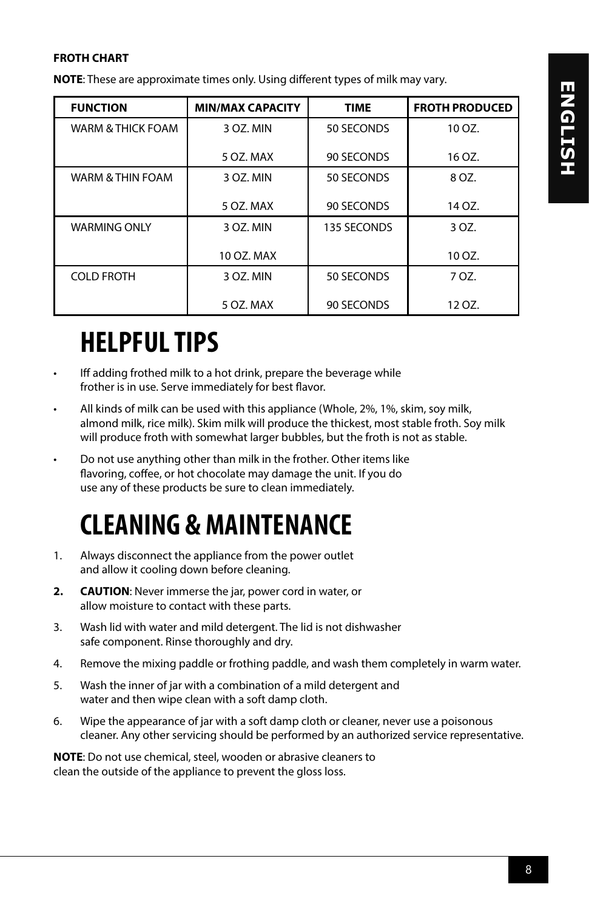#### **FROTH CHART**

**NOTE**: These are approximate times only. Using different types of milk may vary.

| <b>FUNCTION</b>              | <b>MIN/MAX CAPACITY</b> | <b>TIME</b> | <b>FROTH PRODUCED</b> |
|------------------------------|-------------------------|-------------|-----------------------|
| <b>WARM &amp; THICK FOAM</b> | 3 OZ. MIN               | 50 SECONDS  | 10 OZ.                |
|                              | 5 OZ. MAX               | 90 SECONDS  | 16 OZ.                |
| WARM & THIN FOAM             | 3 OZ. MIN               | 50 SECONDS  | 8 OZ.                 |
|                              | 5 OZ. MAX               | 90 SECONDS  | 14 OZ.                |
| <b>WARMING ONLY</b>          | 3 OZ. MIN               | 135 SECONDS | 3 OZ.                 |
|                              | 10 OZ. MAX              |             | 10 OZ.                |
| <b>COLD FROTH</b>            | 3 OZ. MIN               | 50 SECONDS  | 7 OZ.                 |
|                              | 5 OZ. MAX               | 90 SECONDS  | 12 OZ.                |

### **HELPFUL TIPS**

- Iff adding frothed milk to a hot drink, prepare the beverage while frother is in use. Serve immediately for best flavor.
- All kinds of milk can be used with this appliance (Whole, 2%, 1%, skim, soy milk, almond milk, rice milk). Skim milk will produce the thickest, most stable froth. Soy milk will produce froth with somewhat larger bubbles, but the froth is not as stable.
- Do not use anything other than milk in the frother. Other items like flavoring, coffee, or hot chocolate may damage the unit. If you do use any of these products be sure to clean immediately.

### **CLEANING & MAINTENANCE**

- 1. Always disconnect the appliance from the power outlet and allow it cooling down before cleaning.
- **2. CAUTION**: Never immerse the jar, power cord in water, or allow moisture to contact with these parts.
- 3. Wash lid with water and mild detergent. The lid is not dishwasher safe component. Rinse thoroughly and dry.
- 4. Remove the mixing paddle or frothing paddle, and wash them completely in warm water.
- 5. Wash the inner of jar with a combination of a mild detergent and water and then wipe clean with a soft damp cloth.
- 6. Wipe the appearance of jar with a soft damp cloth or cleaner, never use a poisonous cleaner. Any other servicing should be performed by an authorized service representative.

**NOTE**: Do not use chemical, steel, wooden or abrasive cleaners to clean the outside of the appliance to prevent the gloss loss.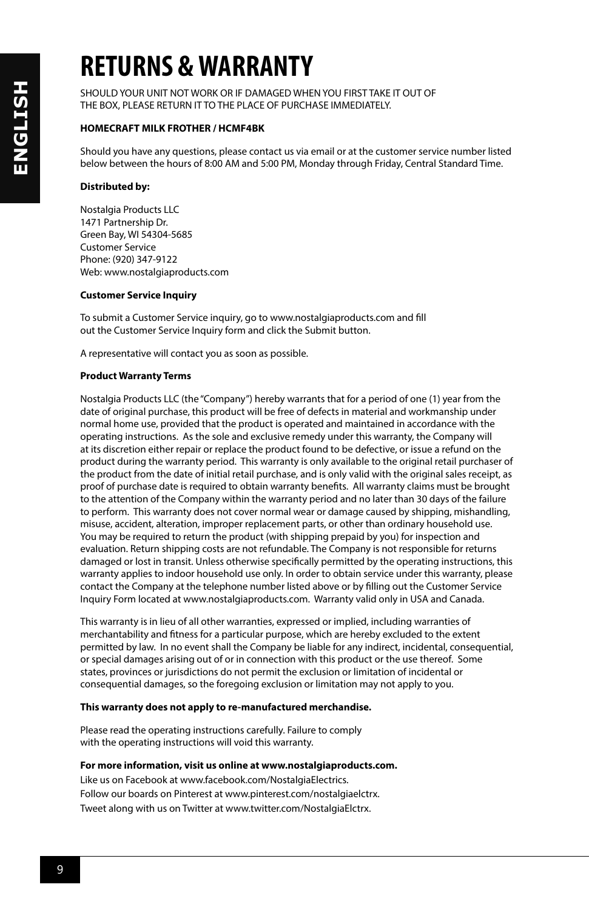## **RETURNS & WARRANTY**

SHOULD YOUR UNIT NOT WORK OR IF DAMAGED WHEN YOU FIRST TAKE IT OUT OF THE BOX, PLEASE RETURN IT TO THE PLACE OF PURCHASE IMMEDIATELY.

#### **HOMECRAFT MILK FROTHER / HCMF4BK**

Should you have any questions, please contact us via email or at the customer service number listed below between the hours of 8:00 AM and 5:00 PM, Monday through Friday, Central Standard Time.

#### **Distributed by:**

Nostalgia Products LLC 1471 Partnership Dr. Green Bay, WI 54304-5685 Customer Service Phone: (920) 347-9122 Web: www.nostalgiaproducts.com

#### **Customer Service Inquiry**

To submit a Customer Service inquiry, go to www.nostalgiaproducts.com and fill out the Customer Service Inquiry form and click the Submit button.

A representative will contact you as soon as possible.

#### **Product Warranty Terms**

Nostalgia Products LLC (the "Company") hereby warrants that for a period of one (1) year from the date of original purchase, this product will be free of defects in material and workmanship under normal home use, provided that the product is operated and maintained in accordance with the operating instructions. As the sole and exclusive remedy under this warranty, the Company will at its discretion either repair or replace the product found to be defective, or issue a refund on the product during the warranty period. This warranty is only available to the original retail purchaser of the product from the date of initial retail purchase, and is only valid with the original sales receipt, as proof of purchase date is required to obtain warranty benefits. All warranty claims must be brought to the attention of the Company within the warranty period and no later than 30 days of the failure to perform. This warranty does not cover normal wear or damage caused by shipping, mishandling, misuse, accident, alteration, improper replacement parts, or other than ordinary household use. You may be required to return the product (with shipping prepaid by you) for inspection and evaluation. Return shipping costs are not refundable. The Company is not responsible for returns damaged or lost in transit. Unless otherwise specifically permitted by the operating instructions, this warranty applies to indoor household use only. In order to obtain service under this warranty, please contact the Company at the telephone number listed above or by filling out the Customer Service Inquiry Form located at www.nostalgiaproducts.com. Warranty valid only in USA and Canada.

This warranty is in lieu of all other warranties, expressed or implied, including warranties of merchantability and fitness for a particular purpose, which are hereby excluded to the extent permitted by law. In no event shall the Company be liable for any indirect, incidental, consequential, or special damages arising out of or in connection with this product or the use thereof. Some states, provinces or jurisdictions do not permit the exclusion or limitation of incidental or consequential damages, so the foregoing exclusion or limitation may not apply to you.

#### **This warranty does not apply to re-manufactured merchandise.**

Please read the operating instructions carefully. Failure to comply with the operating instructions will void this warranty.

#### **For more information, visit us online at www.nostalgiaproducts.com.**

Like us on Facebook at www.facebook.com/NostalgiaElectrics. Follow our boards on Pinterest at www.pinterest.com/nostalgiaelctrx. Tweet along with us on Twitter at www.twitter.com/NostalgiaElctrx.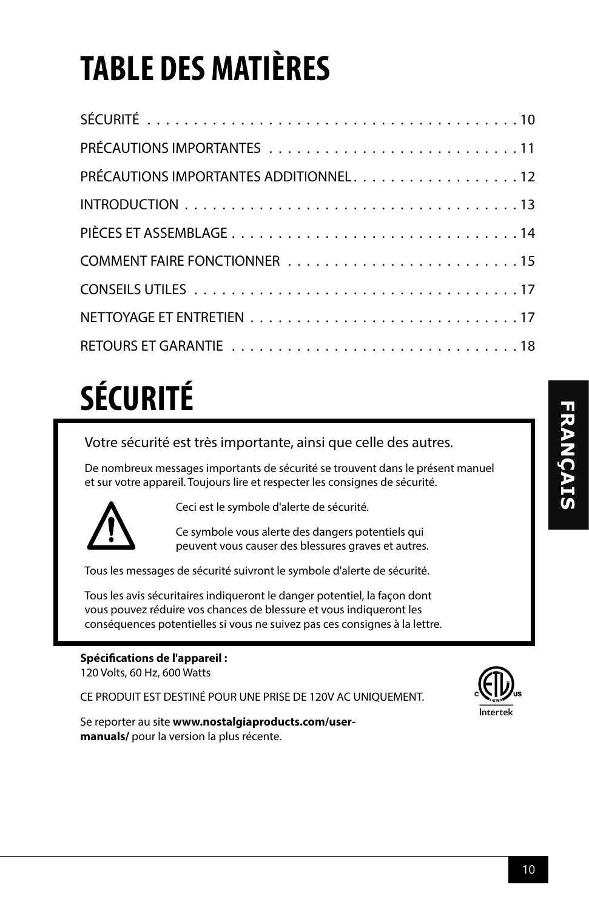# **TABLE DES MATIÈRES**

| PRÉCAUTIONS IMPORTANTES ADDITIONNEL12 |
|---------------------------------------|
|                                       |
|                                       |
|                                       |
|                                       |
|                                       |
|                                       |
|                                       |

# **SÉCURITÉ**

Votre sécurité est très importante, ainsi que celle des autres.

De nombreux messages importants de sécurité se trouvent dans le présent manuel et sur votre appareil. Toujours lire et respecter les consignes de sécurité.



Ceci est le symbole d'alerte de sécurité.

Ce symbole vous alerte des dangers potentiels qui peuvent vous causer des blessures graves et autres.

Tous les messages de sécurité suivront le symbole d'alerte de sécurité.

Tous les avis sécuritaires indiqueront le danger potentiel, la façon dont vous pouvez réduire vos chances de blessure et vous indiqueront les conséquences potentielles si vous ne suivez pas ces consignes à la lettre.

#### **Spécifications de l'appareil :**

120 Volts, 60 Hz, 600 Watts

CE PRODUIT EST DESTINÉ POUR UNE PRISE DE 120V AC UNIQUEMENT.



Se reporter au site **www.nostalgiaproducts.com/usermanuals/** pour la version la plus récente.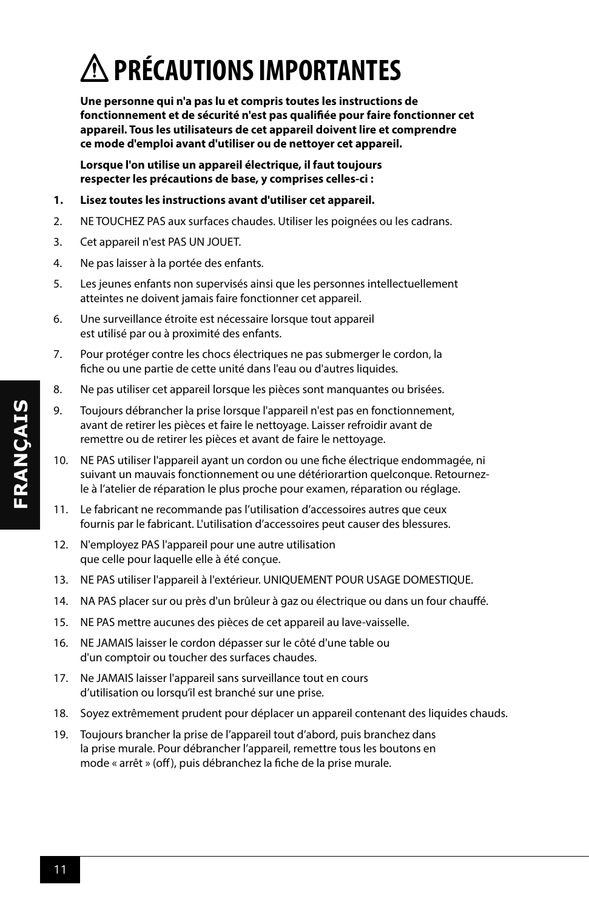## **PRÉCAUTIONS IMPORTANTES**

**Une personne qui n'a pas lu et compris toutes les instructions de fonctionnement et de sécurité n'est pas qualifiée pour faire fonctionner cet appareil. Tous les utilisateurs de cet appareil doivent lire et comprendre ce mode d'emploi avant d'utiliser ou de nettoyer cet appareil.**

**Lorsque l'on utilise un appareil électrique, il faut toujours respecter les précautions de base, y comprises celles-ci :**

- **1. Lisez toutes les instructions avant d'utiliser cet appareil.**
- 2. NE TOUCHEZ PAS aux surfaces chaudes. Utiliser les poignées ou les cadrans.
- 3. Cet appareil n'est PAS UN JOUET.
- 4. Ne pas laisser à la portée des enfants.
- 5. Les jeunes enfants non supervisés ainsi que les personnes intellectuellement atteintes ne doivent jamais faire fonctionner cet appareil.
- 6. Une surveillance étroite est nécessaire lorsque tout appareil est utilisé par ou à proximité des enfants.
- 7. Pour protéger contre les chocs électriques ne pas submerger le cordon, la fiche ou une partie de cette unité dans l'eau ou d'autres liquides.
- 8. Ne pas utiliser cet appareil lorsque les pièces sont manquantes ou brisées.
- 9. Toujours débrancher la prise lorsque l'appareil n'est pas en fonctionnement, avant de retirer les pièces et faire le nettoyage. Laisser refroidir avant de remettre ou de retirer les pièces et avant de faire le nettoyage.
- 10. NE PAS utiliser l'appareil ayant un cordon ou une fiche électrique endommagée, ni suivant un mauvais fonctionnement ou une détériorartion quelconque. Retournezle à l'atelier de réparation le plus proche pour examen, réparation ou réglage.
- 11. Le fabricant ne recommande pas l'utilisation d'accessoires autres que ceux fournis par le fabricant. L'utilisation d'accessoires peut causer des blessures.
- 12. N'employez PAS l'appareil pour une autre utilisation que celle pour laquelle elle à été conçue.
- 13. NE PAS utiliser l'appareil à l'extérieur. UNIQUEMENT POUR USAGE DOMESTIQUE.
- 14. NA PAS placer sur ou près d'un brûleur à gaz ou électrique ou dans un four chauffé.
- 15. NE PAS mettre aucunes des pièces de cet appareil au lave-vaisselle.
- 16. NE JAMAIS laisser le cordon dépasser sur le côté d'une table ou d'un comptoir ou toucher des surfaces chaudes.
- 17. Ne JAMAIS laisser l'appareil sans surveillance tout en cours d'utilisation ou lorsqu'il est branché sur une prise.
- 18. Soyez extrêmement prudent pour déplacer un appareil contenant des liquides chauds.
- 19. Toujours brancher la prise de l'appareil tout d'abord, puis branchez dans la prise murale. Pour débrancher l'appareil, remettre tous les boutons en mode « arrêt » (off), puis débranchez la fiche de la prise murale.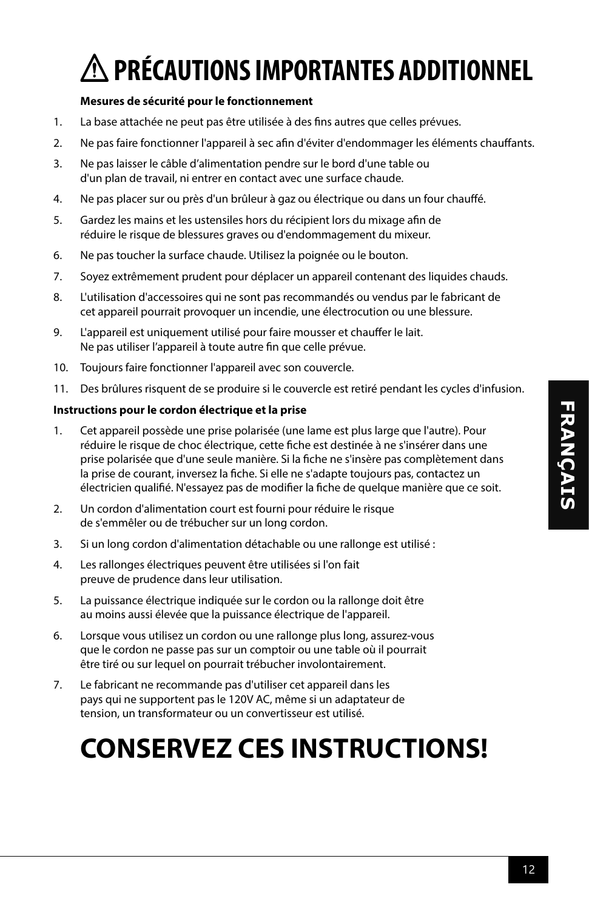## **PRÉCAUTIONS IMPORTANTES ADDITIONNEL**

#### **Mesures de sécurité pour le fonctionnement**

- 1. La base attachée ne peut pas être utilisée à des fins autres que celles prévues.
- 2. Ne pas faire fonctionner l'appareil à sec afin d'éviter d'endommager les éléments chauffants.
- 3. Ne pas laisser le câble d'alimentation pendre sur le bord d'une table ou d'un plan de travail, ni entrer en contact avec une surface chaude.
- 4. Ne pas placer sur ou près d'un brûleur à gaz ou électrique ou dans un four chauffé.
- 5. Gardez les mains et les ustensiles hors du récipient lors du mixage afin de réduire le risque de blessures graves ou d'endommagement du mixeur.
- 6. Ne pas toucher la surface chaude. Utilisez la poignée ou le bouton.
- 7. Soyez extrêmement prudent pour déplacer un appareil contenant des liquides chauds.
- 8. L'utilisation d'accessoires qui ne sont pas recommandés ou vendus par le fabricant de cet appareil pourrait provoquer un incendie, une électrocution ou une blessure.
- 9. L'appareil est uniquement utilisé pour faire mousser et chauffer le lait. Ne pas utiliser l'appareil à toute autre fin que celle prévue.
- 10. Toujours faire fonctionner l'appareil avec son couvercle.
- 11. Des brûlures risquent de se produire si le couvercle est retiré pendant les cycles d'infusion.

#### **Instructions pour le cordon électrique et la prise**

- 1. Cet appareil possède une prise polarisée (une lame est plus large que l'autre). Pour réduire le risque de choc électrique, cette fiche est destinée à ne s'insérer dans une prise polarisée que d'une seule manière. Si la fiche ne s'insère pas complètement dans la prise de courant, inversez la fiche. Si elle ne s'adapte toujours pas, contactez un électricien qualifié. N'essayez pas de modifier la fiche de quelque manière que ce soit.
- 2. Un cordon d'alimentation court est fourni pour réduire le risque de s'emmêler ou de trébucher sur un long cordon.
- 3. Si un long cordon d'alimentation détachable ou une rallonge est utilisé :
- 4. Les rallonges électriques peuvent être utilisées si l'on fait preuve de prudence dans leur utilisation.
- 5. La puissance électrique indiquée sur le cordon ou la rallonge doit être au moins aussi élevée que la puissance électrique de l'appareil.
- 6. Lorsque vous utilisez un cordon ou une rallonge plus long, assurez-vous que le cordon ne passe pas sur un comptoir ou une table où il pourrait être tiré ou sur lequel on pourrait trébucher involontairement.
- 7. Le fabricant ne recommande pas d'utiliser cet appareil dans les pays qui ne supportent pas le 120V AC, même si un adaptateur de tension, un transformateur ou un convertisseur est utilisé.

### **CONSERVEZ CES INSTRUCTIONS!**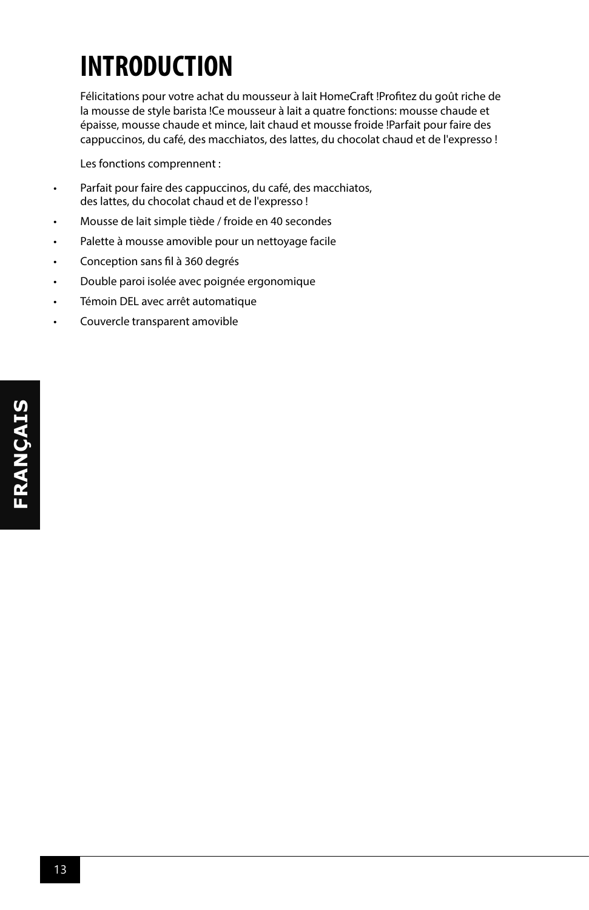## **INTRODUCTION**

Félicitations pour votre achat du mousseur à lait HomeCraft !Profitez du goût riche de la mousse de style barista !Ce mousseur à lait a quatre fonctions: mousse chaude et épaisse, mousse chaude et mince, lait chaud et mousse froide !Parfait pour faire des cappuccinos, du café, des macchiatos, des lattes, du chocolat chaud et de l'expresso !

Les fonctions comprennent :

- Parfait pour faire des cappuccinos, du café, des macchiatos, des lattes, du chocolat chaud et de l'expresso !
- Mousse de lait simple tiède / froide en 40 secondes
- Palette à mousse amovible pour un nettoyage facile
- Conception sans fil à 360 degrés
- Double paroi isolée avec poignée ergonomique
- Témoin DEL avec arrêt automatique
- Couvercle transparent amovible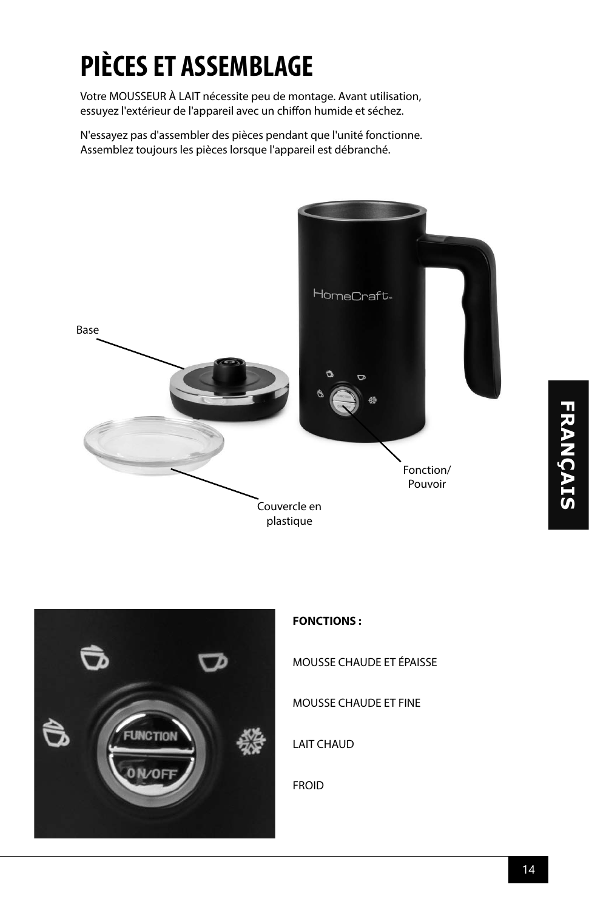## **PIÈCES ET ASSEMBLAGE**

Votre MOUSSEUR À LAIT nécessite peu de montage. Avant utilisation, essuyez l'extérieur de l'appareil avec un chiffon humide et séchez.

N'essayez pas d'assembler des pièces pendant que l'unité fonctionne. Assemblez toujours les pièces lorsque l'appareil est débranché.





#### **FONCTIONS :**

MOUSSE CHAUDE ET ÉPAISSE

MOUSSE CHAUDE ET FINE

LAIT CHAUD

FROID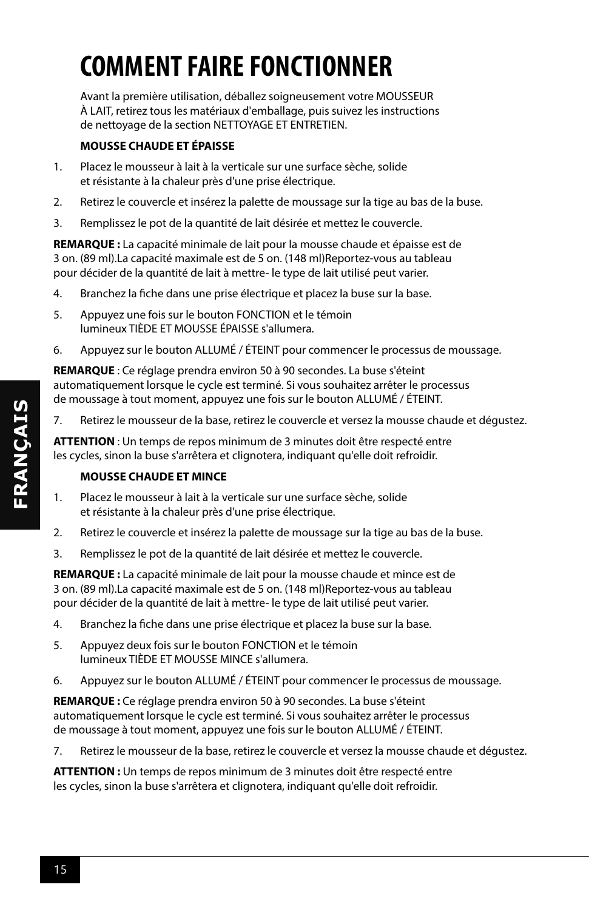## **COMMENT FAIRE FONCTIONNER**

Avant la première utilisation, déballez soigneusement votre MOUSSEUR À LAIT, retirez tous les matériaux d'emballage, puis suivez les instructions de nettoyage de la section NETTOYAGE ET ENTRETIEN.

#### **MOUSSE CHAUDE ET ÉPAISSE**

- 1. Placez le mousseur à lait à la verticale sur une surface sèche, solide et résistante à la chaleur près d'une prise électrique.
- 2. Retirez le couvercle et insérez la palette de moussage sur la tige au bas de la buse.
- 3. Remplissez le pot de la quantité de lait désirée et mettez le couvercle.

**REMARQUE :** La capacité minimale de lait pour la mousse chaude et épaisse est de 3 on. (89 ml).La capacité maximale est de 5 on. (148 ml)Reportez-vous au tableau pour décider de la quantité de lait à mettre- le type de lait utilisé peut varier.

- 4. Branchez la fiche dans une prise électrique et placez la buse sur la base.
- 5. Appuyez une fois sur le bouton FONCTION et le témoin lumineux TIÈDE ET MOUSSE ÉPAISSE s'allumera.
- 6. Appuyez sur le bouton ALLUMÉ / ÉTEINT pour commencer le processus de moussage.

**REMARQUE** : Ce réglage prendra environ 50 à 90 secondes. La buse s'éteint automatiquement lorsque le cycle est terminé. Si vous souhaitez arrêter le processus de moussage à tout moment, appuyez une fois sur le bouton ALLUMÉ / ÉTEINT.

7. Retirez le mousseur de la base, retirez le couvercle et versez la mousse chaude et dégustez.

**ATTENTION** : Un temps de repos minimum de 3 minutes doit être respecté entre les cycles, sinon la buse s'arrêtera et clignotera, indiquant qu'elle doit refroidir.

#### **MOUSSE CHAUDE ET MINCE**

- 1. Placez le mousseur à lait à la verticale sur une surface sèche, solide et résistante à la chaleur près d'une prise électrique.
- 2. Retirez le couvercle et insérez la palette de moussage sur la tige au bas de la buse.
- 3. Remplissez le pot de la quantité de lait désirée et mettez le couvercle.

**REMARQUE :** La capacité minimale de lait pour la mousse chaude et mince est de 3 on. (89 ml).La capacité maximale est de 5 on. (148 ml)Reportez-vous au tableau pour décider de la quantité de lait à mettre- le type de lait utilisé peut varier.

- 4. Branchez la fiche dans une prise électrique et placez la buse sur la base.
- 5. Appuyez deux fois sur le bouton FONCTION et le témoin lumineux TIÈDE ET MOUSSE MINCE s'allumera.
- 6. Appuyez sur le bouton ALLUMÉ / ÉTEINT pour commencer le processus de moussage.

**REMARQUE :** Ce réglage prendra environ 50 à 90 secondes. La buse s'éteint automatiquement lorsque le cycle est terminé. Si vous souhaitez arrêter le processus de moussage à tout moment, appuyez une fois sur le bouton ALLUMÉ / ÉTEINT.

7. Retirez le mousseur de la base, retirez le couvercle et versez la mousse chaude et dégustez.

**ATTENTION :** Un temps de repos minimum de 3 minutes doit être respecté entre les cycles, sinon la buse s'arrêtera et clignotera, indiquant qu'elle doit refroidir.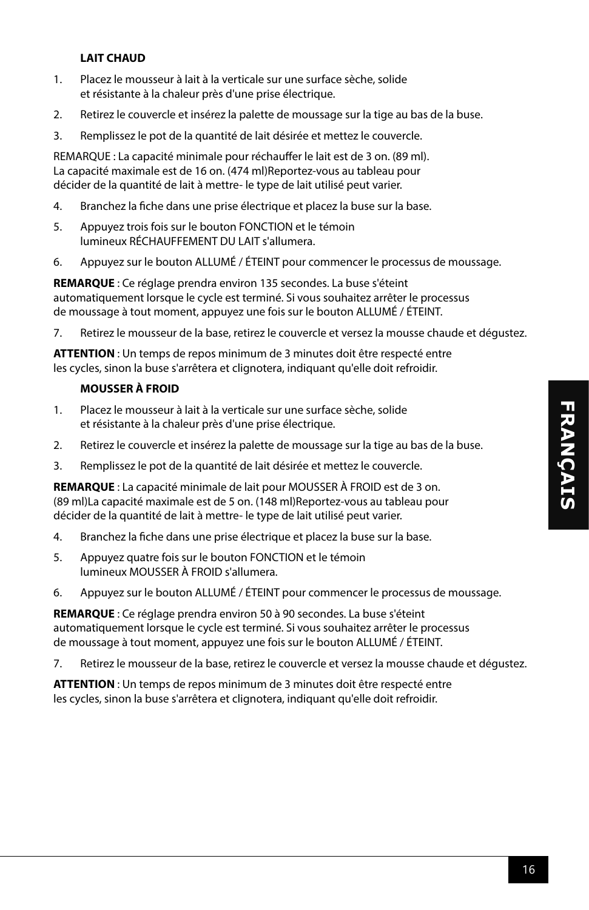#### **LAIT CHAUD**

- 1. Placez le mousseur à lait à la verticale sur une surface sèche, solide et résistante à la chaleur près d'une prise électrique.
- 2. Retirez le couvercle et insérez la palette de moussage sur la tige au bas de la buse.
- 3. Remplissez le pot de la quantité de lait désirée et mettez le couvercle.

REMARQUE : La capacité minimale pour réchauffer le lait est de 3 on. (89 ml). La capacité maximale est de 16 on. (474 ml)Reportez-vous au tableau pour décider de la quantité de lait à mettre- le type de lait utilisé peut varier.

- 4. Branchez la fiche dans une prise électrique et placez la buse sur la base.
- 5. Appuyez trois fois sur le bouton FONCTION et le témoin lumineux RÉCHAUFFEMENT DU LAIT s'allumera.
- 6. Appuyez sur le bouton ALLUMÉ / ÉTEINT pour commencer le processus de moussage.

**REMARQUE** : Ce réglage prendra environ 135 secondes. La buse s'éteint automatiquement lorsque le cycle est terminé. Si vous souhaitez arrêter le processus de moussage à tout moment, appuyez une fois sur le bouton ALLUMÉ / ÉTEINT.

7. Retirez le mousseur de la base, retirez le couvercle et versez la mousse chaude et dégustez.

**ATTENTION** : Un temps de repos minimum de 3 minutes doit être respecté entre les cycles, sinon la buse s'arrêtera et clignotera, indiquant qu'elle doit refroidir.

#### **MOUSSER À FROID**

- 1. Placez le mousseur à lait à la verticale sur une surface sèche, solide et résistante à la chaleur près d'une prise électrique.
- 2. Retirez le couvercle et insérez la palette de moussage sur la tige au bas de la buse.
- 3. Remplissez le pot de la quantité de lait désirée et mettez le couvercle.

**REMARQUE** : La capacité minimale de lait pour MOUSSER À FROID est de 3 on. (89 ml)La capacité maximale est de 5 on. (148 ml)Reportez-vous au tableau pour décider de la quantité de lait à mettre- le type de lait utilisé peut varier.

- 4. Branchez la fiche dans une prise électrique et placez la buse sur la base.
- 5. Appuyez quatre fois sur le bouton FONCTION et le témoin lumineux MOUSSER À FROID s'allumera.
- 6. Appuyez sur le bouton ALLUMÉ / ÉTEINT pour commencer le processus de moussage.

**REMARQUE** : Ce réglage prendra environ 50 à 90 secondes. La buse s'éteint automatiquement lorsque le cycle est terminé. Si vous souhaitez arrêter le processus de moussage à tout moment, appuyez une fois sur le bouton ALLUMÉ / ÉTEINT.

7. Retirez le mousseur de la base, retirez le couvercle et versez la mousse chaude et dégustez.

**ATTENTION** : Un temps de repos minimum de 3 minutes doit être respecté entre les cycles, sinon la buse s'arrêtera et clignotera, indiquant qu'elle doit refroidir.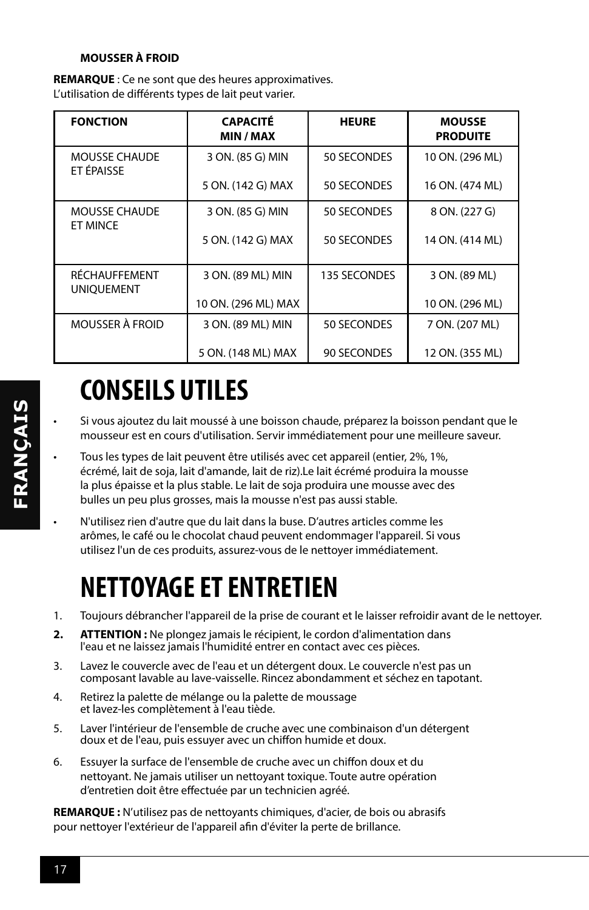#### **MOUSSER À FROID**

**REMARQUE** : Ce ne sont que des heures approximatives. L'utilisation de différents types de lait peut varier.

| <b>FONCTION</b>                         | <b>CAPACITÉ</b><br>MIN / MAX | <b>HEURE</b> | <b>MOUSSE</b><br><b>PRODUITE</b> |
|-----------------------------------------|------------------------------|--------------|----------------------------------|
| <b>MOUSSE CHAUDE</b><br>ET ÉPAISSE      | 3 ON. (85 G) MIN             | 50 SECONDES  | 10 ON. (296 ML)                  |
|                                         | 5 ON. (142 G) MAX            | 50 SECONDES  | 16 ON. (474 ML)                  |
| <b>MOUSSE CHAUDE</b><br><b>ET MINCE</b> | 3 ON. (85 G) MIN             | 50 SECONDES  | 8 ON. (227 G)                    |
|                                         | 5 ON. (142 G) MAX            | 50 SECONDES  | 14 ON. (414 ML)                  |
| RÉCHAUFFEMENT<br><b>UNIOUEMENT</b>      | 3 ON. (89 ML) MIN            | 135 SECONDES | 3 ON. (89 ML)                    |
|                                         | 10 ON. (296 ML) MAX          |              | 10 ON. (296 ML)                  |
| <b>MOUSSER À FROID</b>                  | 3 ON. (89 ML) MIN            | 50 SECONDES  | 7 ON. (207 ML)                   |
|                                         | 5 ON. (148 ML) MAX           | 90 SECONDES  | 12 ON. (355 ML)                  |

## **CONSEILS UTILES**

- Si vous ajoutez du lait moussé à une boisson chaude, préparez la boisson pendant que le mousseur est en cours d'utilisation. Servir immédiatement pour une meilleure saveur.
- Tous les types de lait peuvent être utilisés avec cet appareil (entier, 2%, 1%, écrémé, lait de soja, lait d'amande, lait de riz).Le lait écrémé produira la mousse la plus épaisse et la plus stable. Le lait de soja produira une mousse avec des bulles un peu plus grosses, mais la mousse n'est pas aussi stable.
- N'utilisez rien d'autre que du lait dans la buse. D'autres articles comme les arômes, le café ou le chocolat chaud peuvent endommager l'appareil. Si vous utilisez l'un de ces produits, assurez-vous de le nettoyer immédiatement.

### **NETTOYAGE ET ENTRETIEN**

- 1. Toujours débrancher l'appareil de la prise de courant et le laisser refroidir avant de le nettoyer.
- **2. ATTENTION :** Ne plongez jamais le récipient, le cordon d'alimentation dans l'eau et ne laissez jamais l'humidité entrer en contact avec ces pièces.
- 3. Lavez le couvercle avec de l'eau et un détergent doux. Le couvercle n'est pas un composant lavable au lave-vaisselle. Rincez abondamment et séchez en tapotant.
- 4. Retirez la palette de mélange ou la palette de moussage et lavez-les complètement à l'eau tiède.
- 5. Laver l'intérieur de l'ensemble de cruche avec une combinaison d'un détergent doux et de l'eau, puis essuyer avec un chiffon humide et doux.
- 6. Essuyer la surface de l'ensemble de cruche avec un chiffon doux et du nettoyant. Ne jamais utiliser un nettoyant toxique. Toute autre opération d'entretien doit être effectuée par un technicien agréé.

**REMARQUE :** N'utilisez pas de nettoyants chimiques, d'acier, de bois ou abrasifs pour nettoyer l'extérieur de l'appareil afin d'éviter la perte de brillance.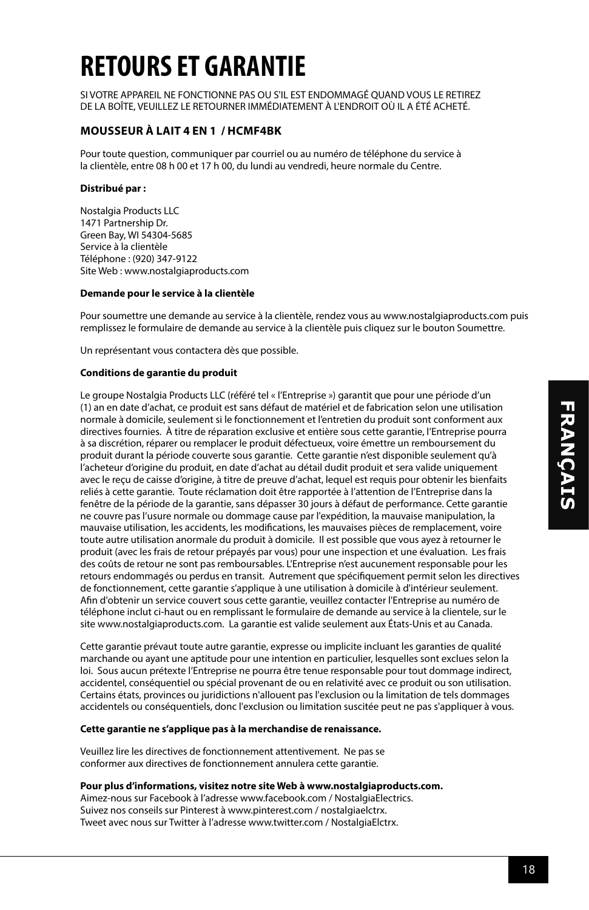## **RETOURS ET GARANTIE**

SI VOTRE APPAREIL NE FONCTIONNE PAS OU S'IL EST ENDOMMAGÉ QUAND VOUS LE RETIREZ DE LA BOÎTE, VEUILLEZ LE RETOURNER IMMÉDIATEMENT À L'ENDROIT OÙ IL A ÉTÉ ACHETÉ.

#### **MOUSSEUR À LAIT 4 EN 1 / HCMF4BK**

Pour toute question, communiquer par courriel ou au numéro de téléphone du service à la clientèle, entre 08 h 00 et 17 h 00, du lundi au vendredi, heure normale du Centre.

#### **Distribué par :**

Nostalgia Products LLC 1471 Partnership Dr. Green Bay, WI 54304-5685 Service à la clientèle Téléphone : (920) 347-9122 Site Web : www.nostalgiaproducts.com

#### **Demande pour le service à la clientèle**

Pour soumettre une demande au service à la clientèle, rendez vous au www.nostalgiaproducts.com puis remplissez le formulaire de demande au service à la clientèle puis cliquez sur le bouton Soumettre.

Un représentant vous contactera dès que possible.

#### **Conditions de garantie du produit**

Le groupe Nostalgia Products LLC (référé tel « l'Entreprise ») garantit que pour une période d'un (1) an en date d'achat, ce produit est sans défaut de matériel et de fabrication selon une utilisation normale à domicile, seulement si le fonctionnement et l'entretien du produit sont conforment aux directives fournies. À titre de réparation exclusive et entière sous cette garantie, l'Entreprise pourra à sa discrétion, réparer ou remplacer le produit défectueux, voire émettre un remboursement du produit durant la période couverte sous garantie. Cette garantie n'est disponible seulement qu'à l'acheteur d'origine du produit, en date d'achat au détail dudit produit et sera valide uniquement avec le reçu de caisse d'origine, à titre de preuve d'achat, lequel est requis pour obtenir les bienfaits reliés à cette garantie. Toute réclamation doit être rapportée à l'attention de l'Entreprise dans la fenêtre de la période de la garantie, sans dépasser 30 jours à défaut de performance. Cette garantie ne couvre pas l'usure normale ou dommage cause par l'expédition, la mauvaise manipulation, la mauvaise utilisation, les accidents, les modifications, les mauvaises pièces de remplacement, voire toute autre utilisation anormale du produit à domicile. Il est possible que vous ayez à retourner le produit (avec les frais de retour prépayés par vous) pour une inspection et une évaluation. Les frais des coûts de retour ne sont pas remboursables. L'Entreprise n'est aucunement responsable pour les retours endommagés ou perdus en transit. Autrement que spécifiquement permit selon les directives de fonctionnement, cette garantie s'applique à une utilisation à domicile à d'intérieur seulement. Afin d'obtenir un service couvert sous cette garantie, veuillez contacter l'Entreprise au numéro de téléphone inclut ci-haut ou en remplissant le formulaire de demande au service à la clientele, sur le site www.nostalgiaproducts.com. La garantie est valide seulement aux États-Unis et au Canada.

Cette garantie prévaut toute autre garantie, expresse ou implicite incluant les garanties de qualité marchande ou ayant une aptitude pour une intention en particulier, lesquelles sont exclues selon la loi. Sous aucun prétexte l'Entreprise ne pourra être tenue responsable pour tout dommage indirect, accidentel, conséquentiel ou spécial provenant de ou en relativité avec ce produit ou son utilisation. Certains états, provinces ou juridictions n'allouent pas l'exclusion ou la limitation de tels dommages accidentels ou conséquentiels, donc l'exclusion ou limitation suscitée peut ne pas s'appliquer à vous.

#### **Cette garantie ne s'applique pas à la merchandise de renaissance.**

Veuillez lire les directives de fonctionnement attentivement. Ne pas se conformer aux directives de fonctionnement annulera cette garantie.

#### **Pour plus d'informations, visitez notre site Web à www.nostalgiaproducts.com.**

Aimez-nous sur Facebook à l'adresse www.facebook.com / NostalgiaElectrics. Suivez nos conseils sur Pinterest à www.pinterest.com / nostalgiaelctrx. Tweet avec nous sur Twitter à l'adresse www.twitter.com / NostalgiaElctrx.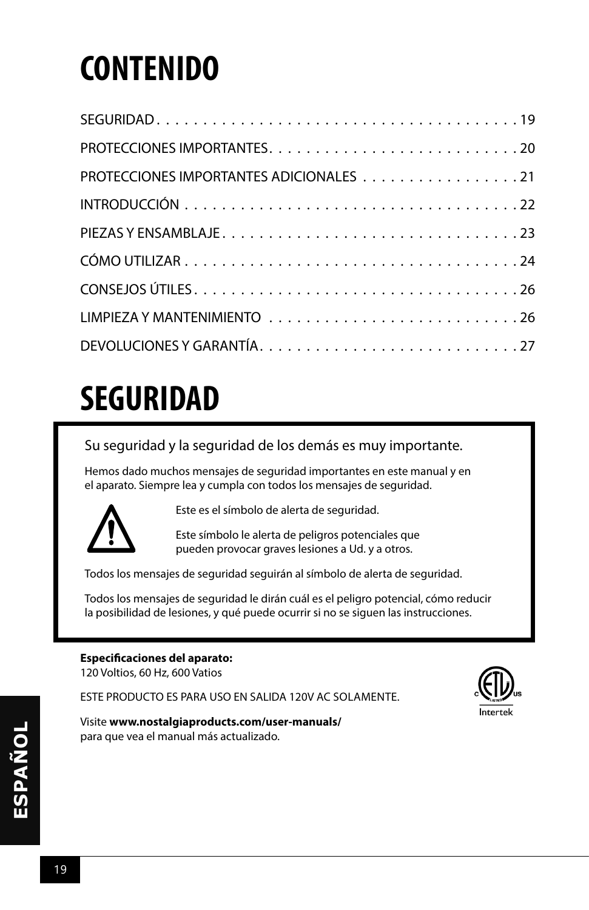## **CONTENIDO**

| PROTECCIONES IMPORTANTES ADICIONALES 21 |
|-----------------------------------------|
|                                         |
|                                         |
|                                         |
|                                         |
|                                         |
|                                         |
|                                         |

## **SEGURIDAD**

#### Su seguridad y la seguridad de los demás es muy importante.

Hemos dado muchos mensajes de seguridad importantes en este manual y en el aparato. Siempre lea y cumpla con todos los mensajes de seguridad.



Este es el símbolo de alerta de seguridad.

Este símbolo le alerta de peligros potenciales que pueden provocar graves lesiones a Ud. y a otros.

Todos los mensajes de seguridad seguirán al símbolo de alerta de seguridad.

Todos los mensajes de seguridad le dirán cuál es el peligro potencial, cómo reducir la posibilidad de lesiones, y qué puede ocurrir si no se siguen las instrucciones.

#### **Especificaciones del aparato:**

120 Voltios, 60 Hz, 600 Vatios

ESTE PRODUCTO ES PARA USO EN SALIDA 120V AC SOLAMENTE.



Visite **www.nostalgiaproducts.com/user-manuals/**  para que vea el manual más actualizado.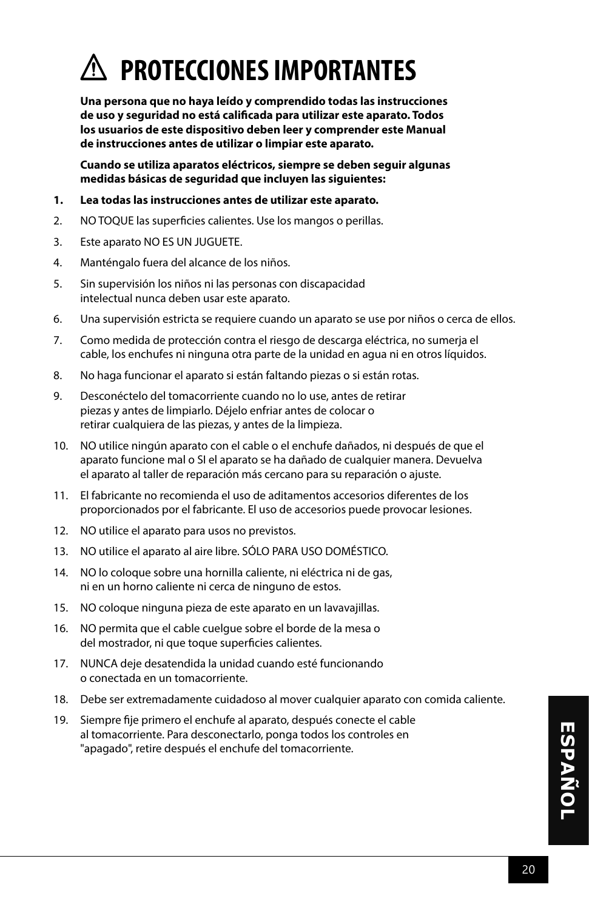

**Una persona que no haya leído y comprendido todas las instrucciones de uso y seguridad no está calificada para utilizar este aparato. Todos los usuarios de este dispositivo deben leer y comprender este Manual de instrucciones antes de utilizar o limpiar este aparato.**

**Cuando se utiliza aparatos eléctricos, siempre se deben seguir algunas medidas básicas de seguridad que incluyen las siguientes:**

- **1. Lea todas las instrucciones antes de utilizar este aparato.**
- 2. NO TOQUE las superficies calientes. Use los mangos o perillas.
- 3. Este aparato NO ES UN JUGUETE.
- 4. Manténgalo fuera del alcance de los niños.
- 5. Sin supervisión los niños ni las personas con discapacidad intelectual nunca deben usar este aparato.
- 6. Una supervisión estricta se requiere cuando un aparato se use por niños o cerca de ellos.
- 7. Como medida de protección contra el riesgo de descarga eléctrica, no sumerja el cable, los enchufes ni ninguna otra parte de la unidad en agua ni en otros líquidos.
- 8. No haga funcionar el aparato si están faltando piezas o si están rotas.
- 9. Desconéctelo del tomacorriente cuando no lo use, antes de retirar piezas y antes de limpiarlo. Déjelo enfriar antes de colocar o retirar cualquiera de las piezas, y antes de la limpieza.
- 10. NO utilice ningún aparato con el cable o el enchufe dañados, ni después de que el aparato funcione mal o SI el aparato se ha dañado de cualquier manera. Devuelva el aparato al taller de reparación más cercano para su reparación o ajuste.
- 11. El fabricante no recomienda el uso de aditamentos accesorios diferentes de los proporcionados por el fabricante. El uso de accesorios puede provocar lesiones.
- 12. NO utilice el aparato para usos no previstos.
- 13. NO utilice el aparato al aire libre. SÓLO PARA USO DOMÉSTICO.
- 14. NO lo coloque sobre una hornilla caliente, ni eléctrica ni de gas, ni en un horno caliente ni cerca de ninguno de estos.
- 15. NO coloque ninguna pieza de este aparato en un lavavajillas.
- 16. NO permita que el cable cuelgue sobre el borde de la mesa o del mostrador, ni que toque superficies calientes.
- 17. NUNCA deje desatendida la unidad cuando esté funcionando o conectada en un tomacorriente.
- 18. Debe ser extremadamente cuidadoso al mover cualquier aparato con comida caliente.
- 19. Siempre fije primero el enchufe al aparato, después conecte el cable al tomacorriente. Para desconectarlo, ponga todos los controles en "apagado", retire después el enchufe del tomacorriente.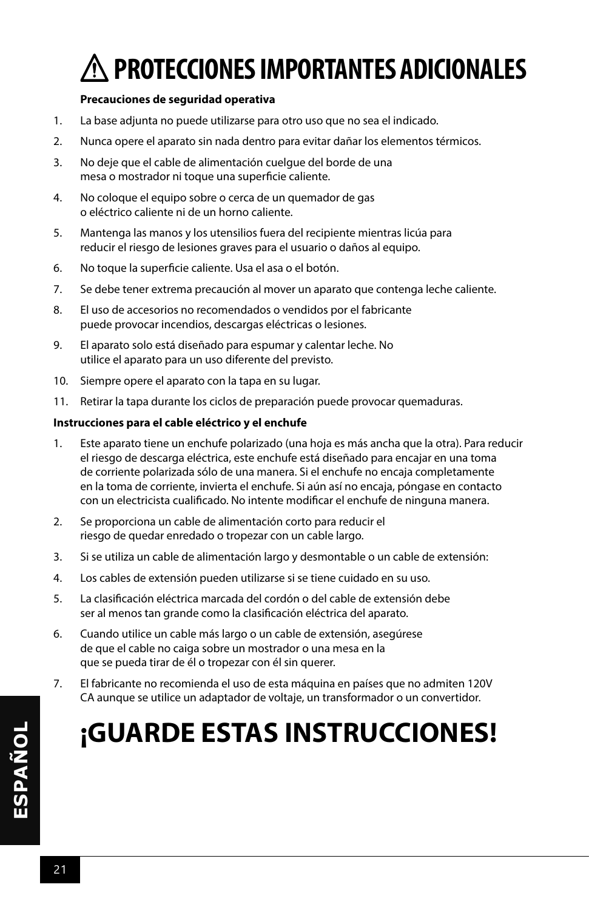## **PROTECCIONES IMPORTANTES ADICIONALES**

#### **Precauciones de seguridad operativa**

- 1. La base adjunta no puede utilizarse para otro uso que no sea el indicado.
- 2. Nunca opere el aparato sin nada dentro para evitar dañar los elementos térmicos.
- 3. No deje que el cable de alimentación cuelgue del borde de una mesa o mostrador ni toque una superficie caliente.
- 4. No coloque el equipo sobre o cerca de un quemador de gas o eléctrico caliente ni de un horno caliente.
- 5. Mantenga las manos y los utensilios fuera del recipiente mientras licúa para reducir el riesgo de lesiones graves para el usuario o daños al equipo.
- 6. No toque la superficie caliente. Usa el asa o el botón.
- 7. Se debe tener extrema precaución al mover un aparato que contenga leche caliente.
- 8. El uso de accesorios no recomendados o vendidos por el fabricante puede provocar incendios, descargas eléctricas o lesiones.
- 9. El aparato solo está diseñado para espumar y calentar leche. No utilice el aparato para un uso diferente del previsto.
- 10. Siempre opere el aparato con la tapa en su lugar.
- 11. Retirar la tapa durante los ciclos de preparación puede provocar quemaduras.

#### **Instrucciones para el cable eléctrico y el enchufe**

- 1. Este aparato tiene un enchufe polarizado (una hoja es más ancha que la otra). Para reducir el riesgo de descarga eléctrica, este enchufe está diseñado para encajar en una toma de corriente polarizada sólo de una manera. Si el enchufe no encaja completamente en la toma de corriente, invierta el enchufe. Si aún así no encaja, póngase en contacto con un electricista cualificado. No intente modificar el enchufe de ninguna manera.
- 2. Se proporciona un cable de alimentación corto para reducir el riesgo de quedar enredado o tropezar con un cable largo.
- 3. Si se utiliza un cable de alimentación largo y desmontable o un cable de extensión:
- 4. Los cables de extensión pueden utilizarse si se tiene cuidado en su uso.
- 5. La clasificación eléctrica marcada del cordón o del cable de extensión debe ser al menos tan grande como la clasificación eléctrica del aparato.
- 6. Cuando utilice un cable más largo o un cable de extensión, asegúrese de que el cable no caiga sobre un mostrador o una mesa en la que se pueda tirar de él o tropezar con él sin querer.
- 7. El fabricante no recomienda el uso de esta máquina en países que no admiten 120V CA aunque se utilice un adaptador de voltaje, un transformador o un convertidor.

### **¡GUARDE ESTAS INSTRUCCIONES!**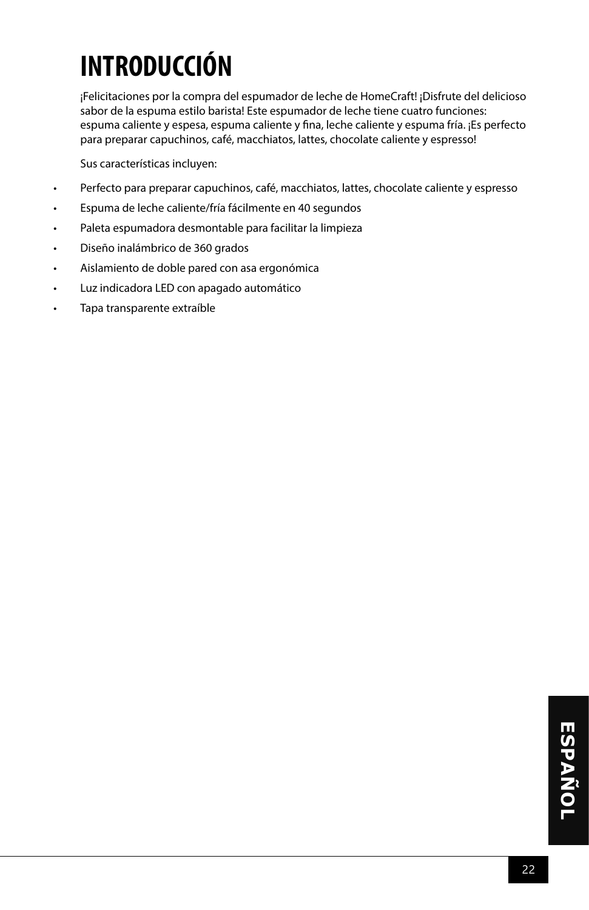## **INTRODUCCIÓN**

¡Felicitaciones por la compra del espumador de leche de HomeCraft! ¡Disfrute del delicioso sabor de la espuma estilo barista! Este espumador de leche tiene cuatro funciones: espuma caliente y espesa, espuma caliente y fina, leche caliente y espuma fría. ¡Es perfecto para preparar capuchinos, café, macchiatos, lattes, chocolate caliente y espresso!

Sus características incluyen:

- Perfecto para preparar capuchinos, café, macchiatos, lattes, chocolate caliente y espresso
- Espuma de leche caliente/fría fácilmente en 40 segundos
- Paleta espumadora desmontable para facilitar la limpieza
- Diseño inalámbrico de 360 grados
- Aislamiento de doble pared con asa ergonómica
- Luz indicadora LED con apagado automático
- Tapa transparente extraíble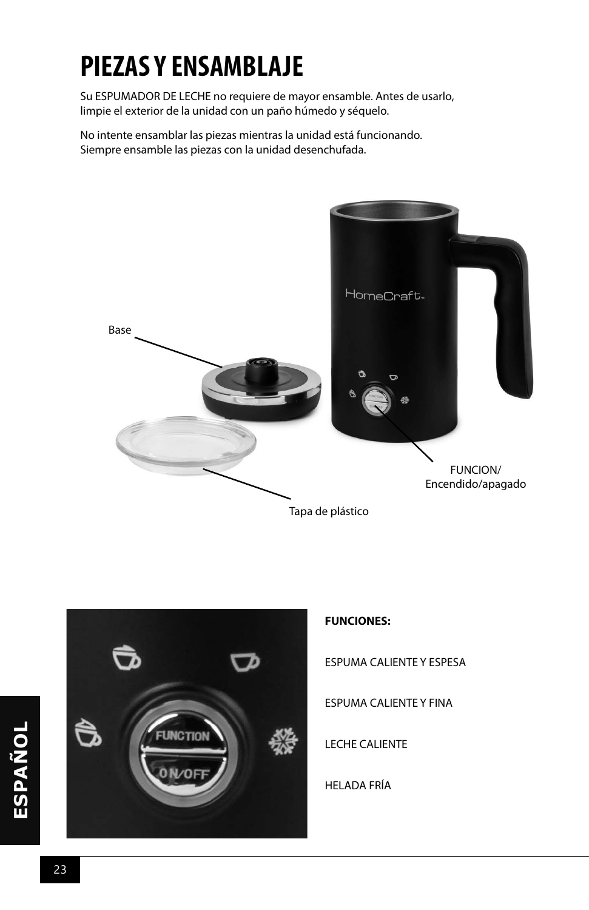## **PIEZAS Y ENSAMBLAJE**

Su ESPUMADOR DE LECHE no requiere de mayor ensamble. Antes de usarlo, limpie el exterior de la unidad con un paño húmedo y séquelo.

No intente ensamblar las piezas mientras la unidad está funcionando. Siempre ensamble las piezas con la unidad desenchufada.





#### **FUNCIONES:**

ESPUMA CALIENTE Y ESPESA

ESPUMA CALIENTE Y FINA

LECHE CALIENTE

HELADA FRÍA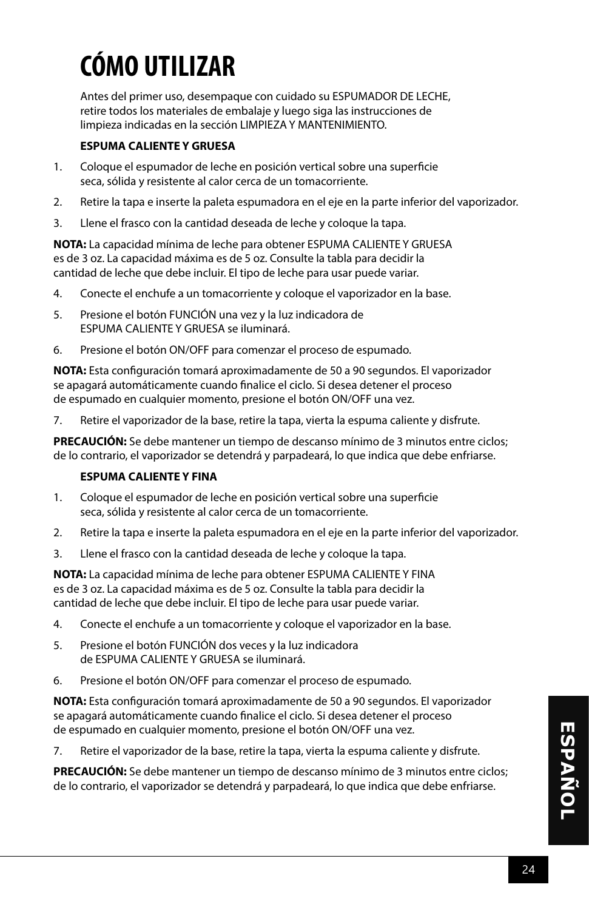## **CÓMO UTILIZAR**

Antes del primer uso, desempaque con cuidado su ESPUMADOR DE LECHE, retire todos los materiales de embalaje y luego siga las instrucciones de limpieza indicadas en la sección LIMPIEZA Y MANTENIMIENTO.

#### **ESPUMA CALIENTE Y GRUESA**

- 1. Coloque el espumador de leche en posición vertical sobre una superficie seca, sólida y resistente al calor cerca de un tomacorriente.
- 2. Retire la tapa e inserte la paleta espumadora en el eje en la parte inferior del vaporizador.
- 3. Llene el frasco con la cantidad deseada de leche y coloque la tapa.

**NOTA:** La capacidad mínima de leche para obtener ESPUMA CALIENTE Y GRUESA es de 3 oz. La capacidad máxima es de 5 oz. Consulte la tabla para decidir la cantidad de leche que debe incluir. El tipo de leche para usar puede variar.

- 4. Conecte el enchufe a un tomacorriente y coloque el vaporizador en la base.
- 5. Presione el botón FUNCIÓN una vez y la luz indicadora de ESPUMA CALIENTE Y GRUESA se iluminará.
- 6. Presione el botón ON/OFF para comenzar el proceso de espumado.

**NOTA:** Esta configuración tomará aproximadamente de 50 a 90 segundos. El vaporizador se apagará automáticamente cuando finalice el ciclo. Si desea detener el proceso de espumado en cualquier momento, presione el botón ON/OFF una vez.

7. Retire el vaporizador de la base, retire la tapa, vierta la espuma caliente y disfrute.

**PRECAUCIÓN:** Se debe mantener un tiempo de descanso mínimo de 3 minutos entre ciclos; de lo contrario, el vaporizador se detendrá y parpadeará, lo que indica que debe enfriarse.

#### **ESPUMA CALIENTE Y FINA**

- 1. Coloque el espumador de leche en posición vertical sobre una superficie seca, sólida y resistente al calor cerca de un tomacorriente.
- 2. Retire la tapa e inserte la paleta espumadora en el eje en la parte inferior del vaporizador.
- 3. Llene el frasco con la cantidad deseada de leche y coloque la tapa.

**NOTA:** La capacidad mínima de leche para obtener ESPUMA CALIENTE Y FINA es de 3 oz. La capacidad máxima es de 5 oz. Consulte la tabla para decidir la cantidad de leche que debe incluir. El tipo de leche para usar puede variar.

- 4. Conecte el enchufe a un tomacorriente y coloque el vaporizador en la base.
- 5. Presione el botón FUNCIÓN dos veces y la luz indicadora de ESPUMA CALIENTE Y GRUESA se iluminará.
- 6. Presione el botón ON/OFF para comenzar el proceso de espumado.

**NOTA:** Esta configuración tomará aproximadamente de 50 a 90 segundos. El vaporizador se apagará automáticamente cuando finalice el ciclo. Si desea detener el proceso de espumado en cualquier momento, presione el botón ON/OFF una vez.

7. Retire el vaporizador de la base, retire la tapa, vierta la espuma caliente y disfrute.

**PRECAUCIÓN:** Se debe mantener un tiempo de descanso mínimo de 3 minutos entre ciclos; de lo contrario, el vaporizador se detendrá y parpadeará, lo que indica que debe enfriarse.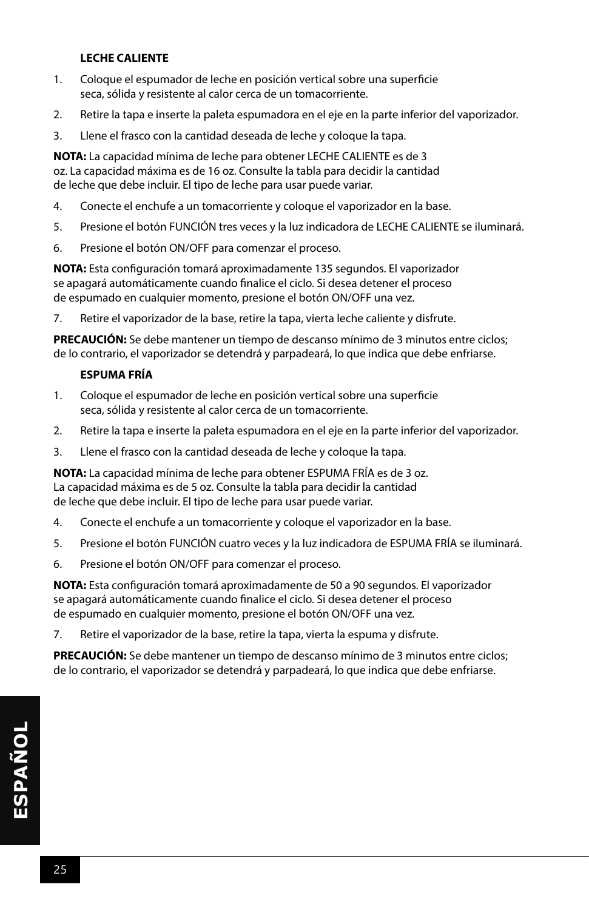#### **LECHE CALIENTE**

- 1. Coloque el espumador de leche en posición vertical sobre una superficie seca, sólida y resistente al calor cerca de un tomacorriente.
- 2. Retire la tapa e inserte la paleta espumadora en el eje en la parte inferior del vaporizador.
- 3. Llene el frasco con la cantidad deseada de leche y coloque la tapa.

**NOTA:** La capacidad mínima de leche para obtener LECHE CALIENTE es de 3 oz. La capacidad máxima es de 16 oz. Consulte la tabla para decidir la cantidad de leche que debe incluir. El tipo de leche para usar puede variar.

- 4. Conecte el enchufe a un tomacorriente y coloque el vaporizador en la base.
- 5. Presione el botón FUNCIÓN tres veces y la luz indicadora de LECHE CALIENTE se iluminará.
- 6. Presione el botón ON/OFF para comenzar el proceso.

**NOTA:** Esta configuración tomará aproximadamente 135 segundos. El vaporizador se apagará automáticamente cuando finalice el ciclo. Si desea detener el proceso de espumado en cualquier momento, presione el botón ON/OFF una vez.

7. Retire el vaporizador de la base, retire la tapa, vierta leche caliente y disfrute.

**PRECAUCIÓN:** Se debe mantener un tiempo de descanso mínimo de 3 minutos entre ciclos; de lo contrario, el vaporizador se detendrá y parpadeará, lo que indica que debe enfriarse.

#### **ESPUMA FRÍA**

- 1. Coloque el espumador de leche en posición vertical sobre una superficie seca, sólida y resistente al calor cerca de un tomacorriente.
- 2. Retire la tapa e inserte la paleta espumadora en el eje en la parte inferior del vaporizador.
- 3. Llene el frasco con la cantidad deseada de leche y coloque la tapa.

**NOTA:** La capacidad mínima de leche para obtener ESPUMA FRÍA es de 3 oz. La capacidad máxima es de 5 oz. Consulte la tabla para decidir la cantidad de leche que debe incluir. El tipo de leche para usar puede variar.

- 4. Conecte el enchufe a un tomacorriente y coloque el vaporizador en la base.
- 5. Presione el botón FUNCIÓN cuatro veces y la luz indicadora de ESPUMA FRÍA se iluminará.
- 6. Presione el botón ON/OFF para comenzar el proceso.

**NOTA:** Esta configuración tomará aproximadamente de 50 a 90 segundos. El vaporizador se apagará automáticamente cuando finalice el ciclo. Si desea detener el proceso de espumado en cualquier momento, presione el botón ON/OFF una vez.

7. Retire el vaporizador de la base, retire la tapa, vierta la espuma y disfrute.

**PRECAUCIÓN:** Se debe mantener un tiempo de descanso mínimo de 3 minutos entre ciclos; de lo contrario, el vaporizador se detendrá y parpadeará, lo que indica que debe enfriarse.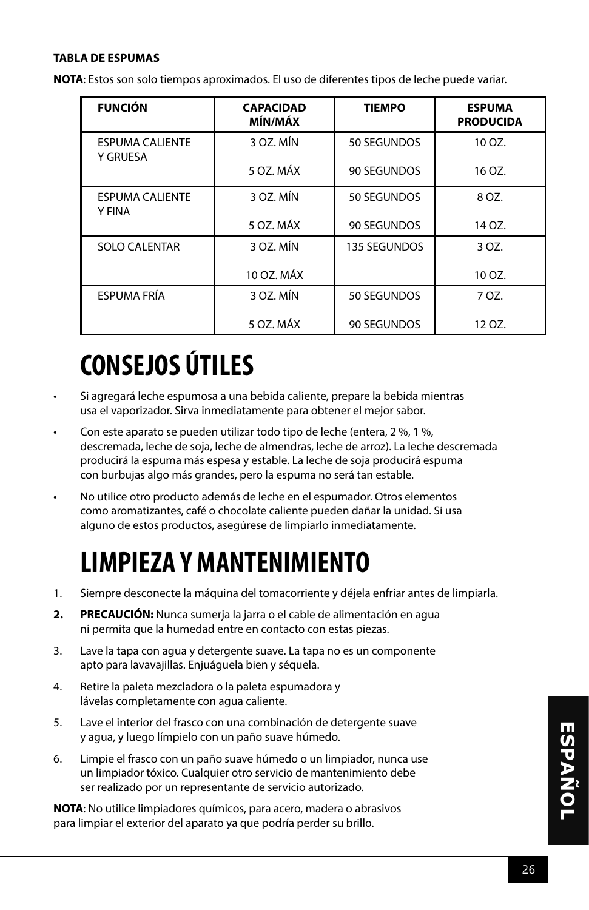#### **TABLA DE ESPUMAS**

**NOTA**: Estos son solo tiempos aproximados. El uso de diferentes tipos de leche puede variar.

| <b>FUNCIÓN</b>                            | <b>CAPACIDAD</b><br>MÍN/MÁX | <b>TIEMPO</b> | <b>ESPUMA</b><br><b>PRODUCIDA</b> |
|-------------------------------------------|-----------------------------|---------------|-----------------------------------|
| <b>ESPUMA CALIENTE</b><br><b>Y GRUESA</b> | 3 OZ. MÍN                   | 50 SEGUNDOS   | 10 OZ.                            |
|                                           | 5 OZ. MÁX                   | 90 SEGUNDOS   | 16 OZ.                            |
| <b>ESPUMA CALIENTE</b><br>Y FINA          | 3 OZ. MÍN                   | 50 SEGUNDOS   | 8 OZ.                             |
|                                           | 5 OZ. MÁX                   | 90 SEGUNDOS   | 14 OZ.                            |
| <b>SOLO CALENTAR</b>                      | 3 OZ. MÍN                   | 135 SEGUNDOS  | 3 OZ.                             |
|                                           | 10 OZ. MÁX                  |               | 10 OZ.                            |
| <b>ESPUMA FRÍA</b>                        | 3 OZ. MÍN                   | 50 SEGUNDOS   | 7 OZ.                             |
|                                           | 5 OZ. MÁX                   | 90 SEGUNDOS   | 12 OZ.                            |

## **CONSEJOS ÚTILES**

- Si agregará leche espumosa a una bebida caliente, prepare la bebida mientras usa el vaporizador. Sirva inmediatamente para obtener el mejor sabor.
- Con este aparato se pueden utilizar todo tipo de leche (entera, 2 %, 1 %, descremada, leche de soja, leche de almendras, leche de arroz). La leche descremada producirá la espuma más espesa y estable. La leche de soja producirá espuma con burbujas algo más grandes, pero la espuma no será tan estable.
- No utilice otro producto además de leche en el espumador. Otros elementos como aromatizantes, café o chocolate caliente pueden dañar la unidad. Si usa alguno de estos productos, asegúrese de limpiarlo inmediatamente.

### **LIMPIEZA Y MANTENIMIENTO**

- 1. Siempre desconecte la máquina del tomacorriente y déjela enfriar antes de limpiarla.
- **2. PRECAUCIÓN:** Nunca sumerja la jarra o el cable de alimentación en agua ni permita que la humedad entre en contacto con estas piezas.
- 3. Lave la tapa con agua y detergente suave. La tapa no es un componente apto para lavavajillas. Enjuáguela bien y séquela.
- 4. Retire la paleta mezcladora o la paleta espumadora y lávelas completamente con agua caliente.
- 5. Lave el interior del frasco con una combinación de detergente suave y agua, y luego límpielo con un paño suave húmedo.
- 6. Limpie el frasco con un paño suave húmedo o un limpiador, nunca use un limpiador tóxico. Cualquier otro servicio de mantenimiento debe ser realizado por un representante de servicio autorizado.

**NOTA**: No utilice limpiadores químicos, para acero, madera o abrasivos para limpiar el exterior del aparato ya que podría perder su brillo.